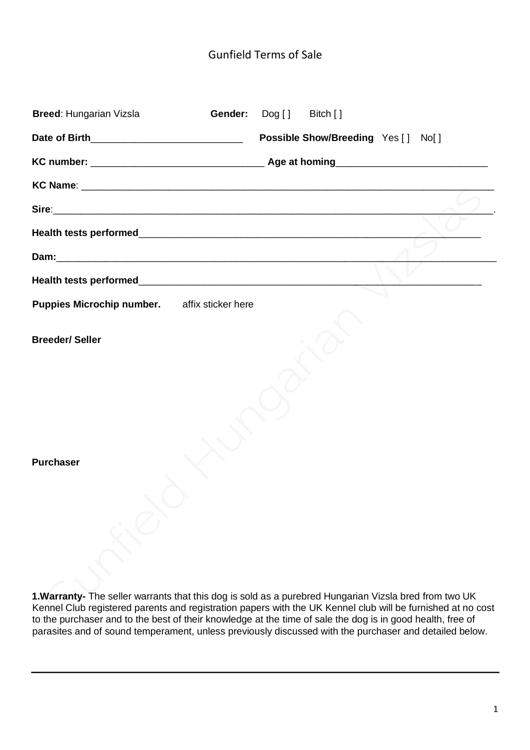# Gunfield Terms of Sale

| <b>Breed: Hungarian Vizsla</b><br>Gender:    | $\textsf{Dog}[\ ]$<br>Bitch []     |
|----------------------------------------------|------------------------------------|
|                                              | Possible Show/Breeding Yes [] No[] |
|                                              |                                    |
|                                              |                                    |
|                                              |                                    |
|                                              |                                    |
|                                              |                                    |
|                                              |                                    |
| Puppies Microchip number. affix sticker here |                                    |
| <b>Breeder/Seller</b>                        |                                    |
| <b>Purchaser</b>                             |                                    |

**1.Warranty-** The seller warrants that this dog is sold as a purebred Hungarian Vizsla bred from two UK Kennel Club registered parents and registration papers with the UK Kennel club will be furnished at no cost to the purchaser and to the best of their knowledge at the time of sale the dog is in good health, free of parasites and of sound temperament, unless previously discussed with the purchaser and detailed below.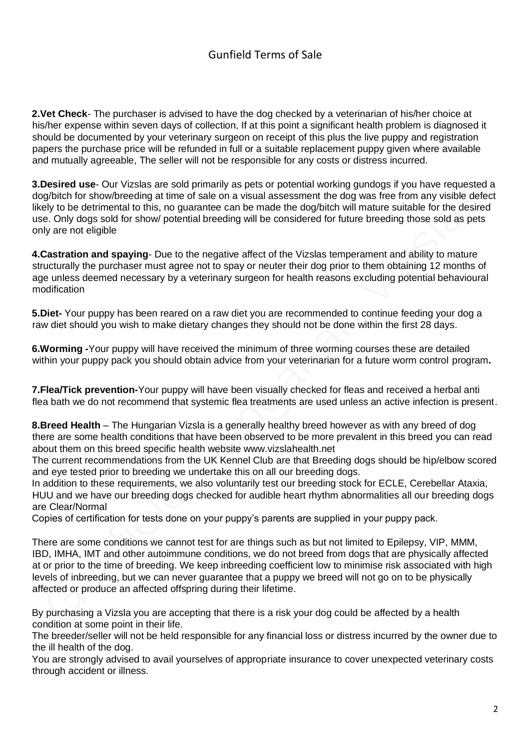# Gunfield Terms of Sale

**2.Vet Check**- The purchaser is advised to have the dog checked by a veterinarian of his/her choice at his/her expense within seven days of collection, If at this point a significant health problem is diagnosed it should be documented by your veterinary surgeon on receipt of this plus the live puppy and registration papers the purchase price will be refunded in full or a suitable replacement puppy given where available and mutually agreeable, The seller will not be responsible for any costs or distress incurred.

**3.Desired use**- Our Vizslas are sold primarily as pets or potential working gundogs if you have requested a dog/bitch for show/breeding at time of sale on a visual assessment the dog was free from any visible defect likely to be detrimental to this, no guarantee can be made the dog/bitch will mature suitable for the desired use. Only dogs sold for show/ potential breeding will be considered for future breeding those sold as pets only are not eligible

**4.Castration and spaying**- Due to the negative affect of the Vizslas temperament and ability to mature structurally the purchaser must agree not to spay or neuter their dog prior to them obtaining 12 months of age unless deemed necessary by a veterinary surgeon for health reasons excluding potential behavioural modification

**5.Diet-** Your puppy has been reared on a raw diet you are recommended to continue feeding your dog a raw diet should you wish to make dietary changes they should not be done within the first 28 days.

**6.Worming -**Your puppy will have received the minimum of three worming courses these are detailed within your puppy pack you should obtain advice from your veterinarian for a future worm control program**.** 

**7.Flea/Tick prevention-**Your puppy will have been visually checked for fleas and received a herbal anti flea bath we do not recommend that systemic flea treatments are used unless an active infection is present.

**8.Breed Health** – The Hungarian Vizsla is a generally healthy breed however as with any breed of dog there are some health conditions that have been observed to be more prevalent in this breed you can read about them on this breed specific health website www.vizslahealth.net

The current recommendations from the UK Kennel Club are that Breeding dogs should be hip/elbow scored and eye tested prior to breeding we undertake this on all our breeding dogs.

In addition to these requirements, we also voluntarily test our breeding stock for ECLE, Cerebellar Ataxia, HUU and we have our breeding dogs checked for audible heart rhythm abnormalities all our breeding dogs are Clear/Normal

Copies of certification for tests done on your puppy's parents are supplied in your puppy pack.

There are some conditions we cannot test for are things such as but not limited to Epilepsy, VIP, MMM, IBD, IMHA, IMT and other autoimmune conditions, we do not breed from dogs that are physically affected at or prior to the time of breeding. We keep inbreeding coefficient low to minimise risk associated with high levels of inbreeding, but we can never guarantee that a puppy we breed will not go on to be physically affected or produce an affected offspring during their lifetime.

By purchasing a Vizsla you are accepting that there is a risk your dog could be affected by a health condition at some point in their life.

The breeder/seller will not be held responsible for any financial loss or distress incurred by the owner due to the ill health of the dog.

You are strongly advised to avail yourselves of appropriate insurance to cover unexpected veterinary costs through accident or illness.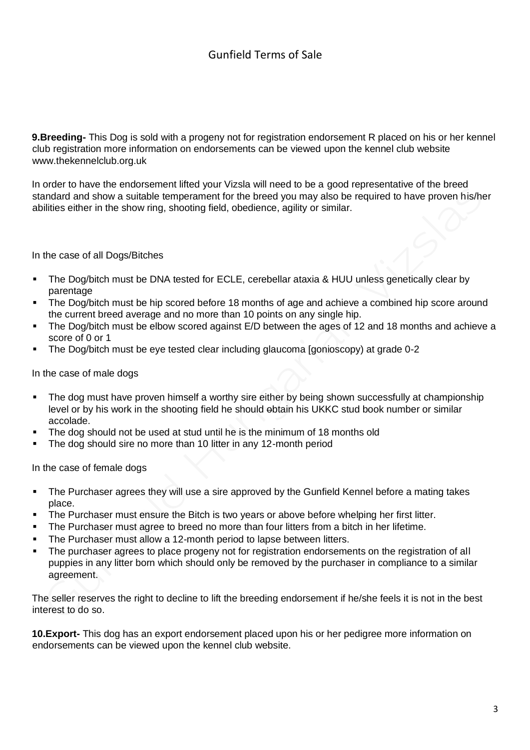**9.Breeding-** This Dog is sold with a progeny not for registration endorsement R placed on his or her kennel club registration more information on endorsements can be viewed upon the kennel club website www.thekennelclub.org.uk

In order to have the endorsement lifted your Vizsla will need to be a good representative of the breed standard and show a suitable temperament for the breed you may also be required to have proven his/her abilities either in the show ring, shooting field, obedience, agility or similar.

### In the case of all Dogs/Bitches

- The Dog/bitch must be DNA tested for ECLE, cerebellar ataxia & HUU unless genetically clear by parentage
- The Dog/bitch must be hip scored before 18 months of age and achieve a combined hip score around the current breed average and no more than 10 points on any single hip.
- The Dog/bitch must be elbow scored against E/D between the ages of 12 and 18 months and achieve a score of 0 or 1
- The Dog/bitch must be eye tested clear including glaucoma [gonioscopy) at grade 0-2

#### In the case of male dogs

- The dog must have proven himself a worthy sire either by being shown successfully at championship level or by his work in the shooting field he should obtain his UKKC stud book number or similar accolade.
- The dog should not be used at stud until he is the minimum of 18 months old
- The dog should sire no more than 10 litter in any 12-month period

In the case of female dogs

- The Purchaser agrees they will use a sire approved by the Gunfield Kennel before a mating takes place.
- The Purchaser must ensure the Bitch is two years or above before whelping her first litter.
- The Purchaser must agree to breed no more than four litters from a bitch in her lifetime.
- The Purchaser must allow a 12-month period to lapse between litters.
- The purchaser agrees to place progeny not for registration endorsements on the registration of all puppies in any litter born which should only be removed by the purchaser in compliance to a similar agreement.

The seller reserves the right to decline to lift the breeding endorsement if he/she feels it is not in the best interest to do so.

**10.Export-** This dog has an export endorsement placed upon his or her pedigree more information on endorsements can be viewed upon the kennel club website.